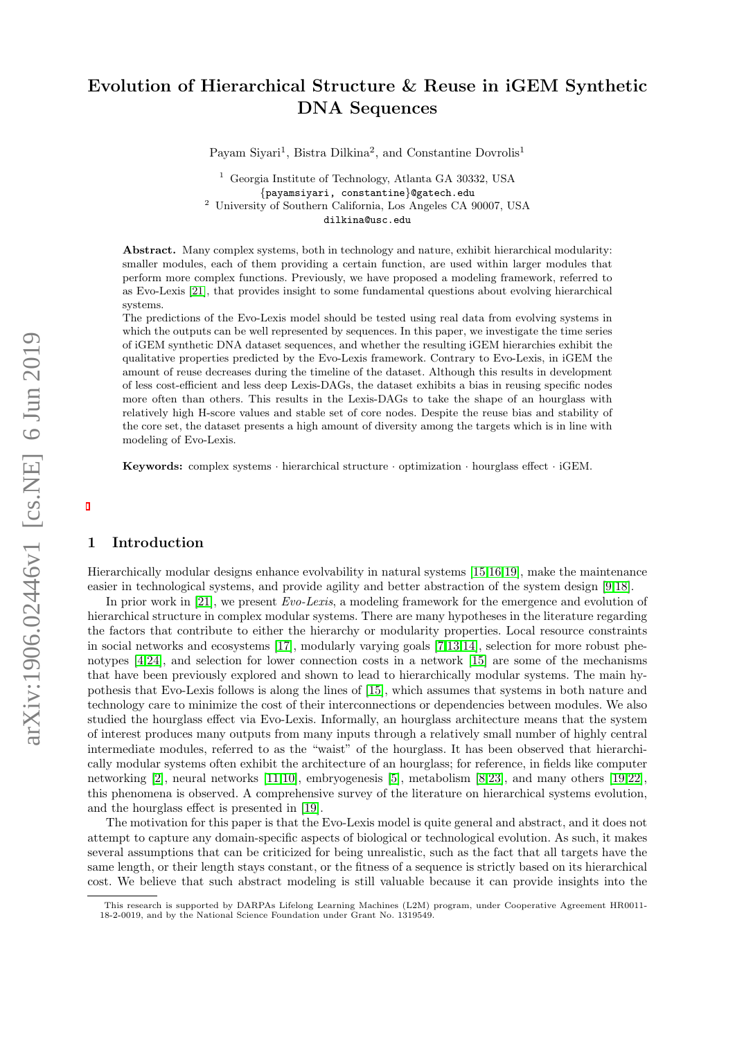# Evolution of Hierarchical Structure & Reuse in iGEM Synthetic DNA Sequences

Payam Siyari<sup>1</sup>, Bistra Dilkina<sup>2</sup>, and Constantine Dovrolis<sup>1</sup>

<sup>1</sup> Georgia Institute of Technology, Atlanta GA 30332, USA {payamsiyari, constantine}@gatech.edu <sup>2</sup> University of Southern California, Los Angeles CA 90007, USA dilkina@usc.edu

Abstract. Many complex systems, both in technology and nature, exhibit hierarchical modularity: smaller modules, each of them providing a certain function, are used within larger modules that perform more complex functions. Previously, we have proposed a modeling framework, referred to as Evo-Lexis [\[21\]](#page-10-0), that provides insight to some fundamental questions about evolving hierarchical systems.

The predictions of the Evo-Lexis model should be tested using real data from evolving systems in which the outputs can be well represented by sequences. In this paper, we investigate the time series of iGEM synthetic DNA dataset sequences, and whether the resulting iGEM hierarchies exhibit the qualitative properties predicted by the Evo-Lexis framework. Contrary to Evo-Lexis, in iGEM the amount of reuse decreases during the timeline of the dataset. Although this results in development of less cost-efficient and less deep Lexis-DAGs, the dataset exhibits a bias in reusing specific nodes more often than others. This results in the Lexis-DAGs to take the shape of an hourglass with relatively high H-score values and stable set of core nodes. Despite the reuse bias and stability of the core set, the dataset presents a high amount of diversity among the targets which is in line with modeling of Evo-Lexis.

Keywords: complex systems · hierarchical structure · optimization · hourglass effect · iGEM.

## 1 Introduction

Hierarchically modular designs enhance evolvability in natural systems [\[15,](#page-10-1)[16,](#page-10-2)[19\]](#page-10-3), make the maintenance easier in technological systems, and provide agility and better abstraction of the system design [\[9,](#page-10-4)[18\]](#page-10-5).

In prior work in [\[21\]](#page-10-0), we present *Evo-Lexis*, a modeling framework for the emergence and evolution of hierarchical structure in complex modular systems. There are many hypotheses in the literature regarding the factors that contribute to either the hierarchy or modularity properties. Local resource constraints in social networks and ecosystems [\[17\]](#page-10-6), modularly varying goals [\[7](#page-10-7)[,13,](#page-10-8)[14\]](#page-10-9), selection for more robust phenotypes [\[4](#page-10-10)[,24\]](#page-10-11), and selection for lower connection costs in a network [\[15\]](#page-10-1) are some of the mechanisms that have been previously explored and shown to lead to hierarchically modular systems. The main hypothesis that Evo-Lexis follows is along the lines of [\[15\]](#page-10-1), which assumes that systems in both nature and technology care to minimize the cost of their interconnections or dependencies between modules. We also studied the hourglass effect via Evo-Lexis. Informally, an hourglass architecture means that the system of interest produces many outputs from many inputs through a relatively small number of highly central intermediate modules, referred to as the "waist" of the hourglass. It has been observed that hierarchically modular systems often exhibit the architecture of an hourglass; for reference, in fields like computer networking [\[2\]](#page-10-12), neural networks [\[11,](#page-10-13)[10\]](#page-10-14), embryogenesis [\[5\]](#page-10-15), metabolism [\[8,](#page-10-16)[23\]](#page-10-17), and many others [\[19,](#page-10-3)[22\]](#page-10-18), this phenomena is observed. A comprehensive survey of the literature on hierarchical systems evolution, and the hourglass effect is presented in [\[19\]](#page-10-3).

The motivation for this paper is that the Evo-Lexis model is quite general and abstract, and it does not attempt to capture any domain-specific aspects of biological or technological evolution. As such, it makes several assumptions that can be criticized for being unrealistic, such as the fact that all targets have the same length, or their length stays constant, or the fitness of a sequence is strictly based on its hierarchical cost. We believe that such abstract modeling is still valuable because it can provide insights into the

This research is supported by DARPAs Lifelong Learning Machines (L2M) program, under Cooperative Agreement HR0011- 18-2-0019, and by the National Science Foundation under Grant No. 1319549.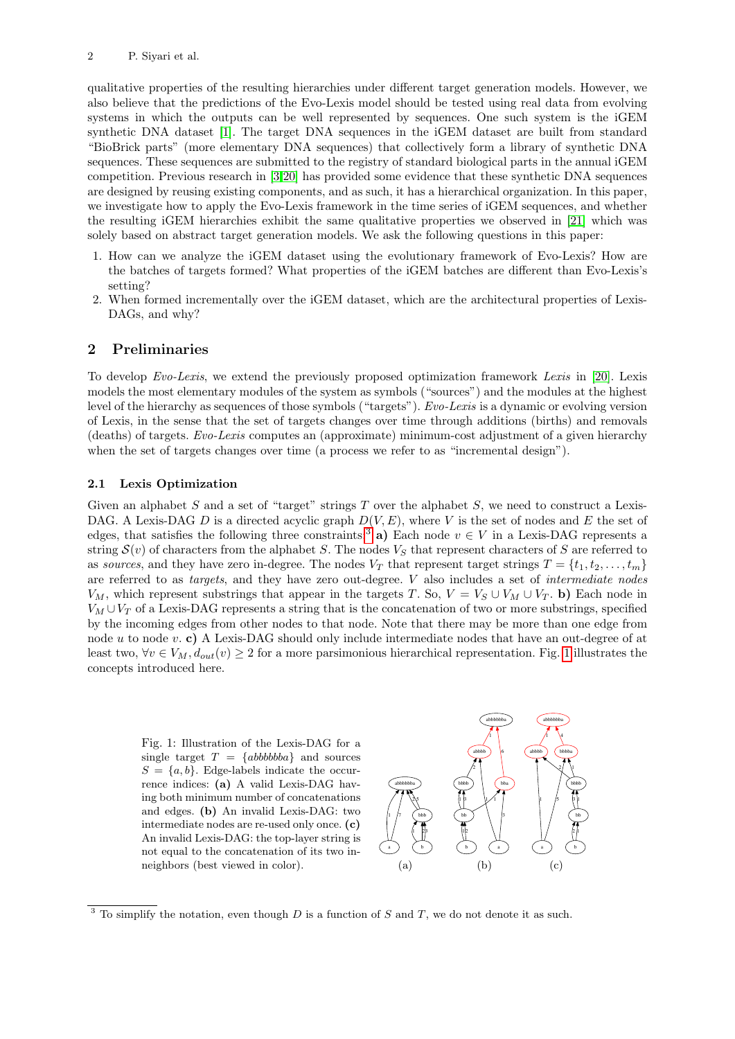qualitative properties of the resulting hierarchies under different target generation models. However, we also believe that the predictions of the Evo-Lexis model should be tested using real data from evolving systems in which the outputs can be well represented by sequences. One such system is the iGEM synthetic DNA dataset [\[1\]](#page-10-19). The target DNA sequences in the iGEM dataset are built from standard "BioBrick parts" (more elementary DNA sequences) that collectively form a library of synthetic DNA sequences. These sequences are submitted to the registry of standard biological parts in the annual iGEM competition. Previous research in [\[3,](#page-10-20)[20\]](#page-10-21) has provided some evidence that these synthetic DNA sequences are designed by reusing existing components, and as such, it has a hierarchical organization. In this paper, we investigate how to apply the Evo-Lexis framework in the time series of iGEM sequences, and whether the resulting iGEM hierarchies exhibit the same qualitative properties we observed in [\[21\]](#page-10-0) which was solely based on abstract target generation models. We ask the following questions in this paper:

- 1. How can we analyze the iGEM dataset using the evolutionary framework of Evo-Lexis? How are the batches of targets formed? What properties of the iGEM batches are different than Evo-Lexis's setting?
- 2. When formed incrementally over the iGEM dataset, which are the architectural properties of Lexis-DAGs, and why?

## 2 Preliminaries

To develop Evo-Lexis, we extend the previously proposed optimization framework Lexis in [\[20\]](#page-10-21). Lexis models the most elementary modules of the system as symbols ("sources") and the modules at the highest level of the hierarchy as sequences of those symbols ("targets"). Evo-Lexis is a dynamic or evolving version of Lexis, in the sense that the set of targets changes over time through additions (births) and removals (deaths) of targets. Evo-Lexis computes an (approximate) minimum-cost adjustment of a given hierarchy when the set of targets changes over time (a process we refer to as "incremental design").

#### 2.1 Lexis Optimization

Given an alphabet  $S$  and a set of "target" strings  $T$  over the alphabet  $S$ , we need to construct a Lexis-DAG. A Lexis-DAG D is a directed acyclic graph  $D(V, E)$ , where V is the set of nodes and E the set of edges, that satisfies the following three constraints:<sup>[3](#page-1-0)</sup> a) Each node  $v \in V$  in a Lexis-DAG represents a string  $S(v)$  of characters from the alphabet S. The nodes  $V<sub>S</sub>$  that represent characters of S are referred to as sources, and they have zero in-degree. The nodes  $V_T$  that represent target strings  $T = \{t_1, t_2, \ldots, t_m\}$ are referred to as targets, and they have zero out-degree. V also includes a set of intermediate nodes  $V_M$ , which represent substrings that appear in the targets T. So,  $V = V_S \cup V_M \cup V_T$ . b) Each node in  $V_M \cup V_T$  of a Lexis-DAG represents a string that is the concatenation of two or more substrings, specified by the incoming edges from other nodes to that node. Note that there may be more than one edge from node  $u$  to node  $v$ . c) A Lexis-DAG should only include intermediate nodes that have an out-degree of at least two,  $\forall v \in V_M$ ,  $d_{out}(v) \geq 2$  for a more parsimonious hierarchical representation. Fig. [1](#page-1-1) illustrates the concepts introduced here.

<span id="page-1-1"></span>Fig. 1: Illustration of the Lexis-DAG for a single target  $T = \{abbbbba\}$  and sources  $S = \{a, b\}$ . Edge-labels indicate the occurrence indices: (a) A valid Lexis-DAG having both minimum number of concatenations and edges. (b) An invalid Lexis-DAG: two intermediate nodes are re-used only once. (c) An invalid Lexis-DAG: the top-layer string is not equal to the concatenation of its two inneighbors (best viewed in color).



<span id="page-1-0"></span> $3$  To simplify the notation, even though D is a function of S and T, we do not denote it as such.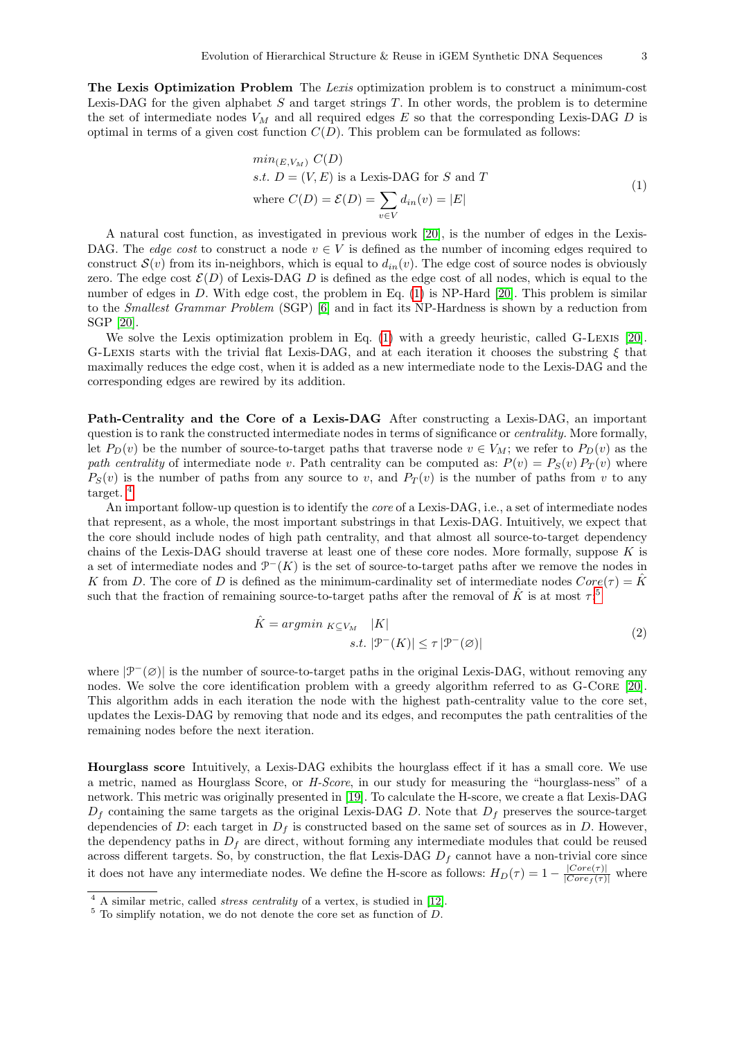The Lexis Optimization Problem The Lexis optimization problem is to construct a minimum-cost Lexis-DAG for the given alphabet  $S$  and target strings  $T$ . In other words, the problem is to determine the set of intermediate nodes  $V_M$  and all required edges E so that the corresponding Lexis-DAG D is optimal in terms of a given cost function  $C(D)$ . This problem can be formulated as follows:

<span id="page-2-0"></span>
$$
\min_{(E, V_M)} C(D)
$$
  
s.t.  $D = (V, E)$  is a Lexis-DAG for  $S$  and  $T$   
where  $C(D) = \mathcal{E}(D) = \sum_{v \in V} d_{in}(v) = |E|$  (1)

A natural cost function, as investigated in previous work [\[20\]](#page-10-21), is the number of edges in the Lexis-DAG. The edge cost to construct a node  $v \in V$  is defined as the number of incoming edges required to construct  $\mathcal{S}(v)$  from its in-neighbors, which is equal to  $d_{in}(v)$ . The edge cost of source nodes is obviously zero. The edge cost  $\mathcal{E}(D)$  of Lexis-DAG D is defined as the edge cost of all nodes, which is equal to the number of edges in D. With edge cost, the problem in Eq. [\(1\)](#page-2-0) is NP-Hard [\[20\]](#page-10-21). This problem is similar to the Smallest Grammar Problem (SGP) [\[6\]](#page-10-22) and in fact its NP-Hardness is shown by a reduction from SGP [\[20\]](#page-10-21).

We solve the Lexis optimization problem in Eq. [\(1\)](#page-2-0) with a greedy heuristic, called G-Lexis [\[20\]](#page-10-21). G-LEXIS starts with the trivial flat Lexis-DAG, and at each iteration it chooses the substring  $\xi$  that maximally reduces the edge cost, when it is added as a new intermediate node to the Lexis-DAG and the corresponding edges are rewired by its addition.

Path-Centrality and the Core of a Lexis-DAG After constructing a Lexis-DAG, an important question is to rank the constructed intermediate nodes in terms of significance or *centrality*. More formally, let  $P_D(v)$  be the number of source-to-target paths that traverse node  $v \in V_M$ ; we refer to  $P_D(v)$  as the path centrality of intermediate node v. Path centrality can be computed as:  $P(v) = P_S(v) P_T(v)$  where  $P<sub>S</sub>(v)$  is the number of paths from any source to v, and  $P<sub>T</sub>(v)$  is the number of paths from v to any target. [4](#page-2-1)

An important follow-up question is to identify the core of a Lexis-DAG, i.e., a set of intermediate nodes that represent, as a whole, the most important substrings in that Lexis-DAG. Intuitively, we expect that the core should include nodes of high path centrality, and that almost all source-to-target dependency chains of the Lexis-DAG should traverse at least one of these core nodes. More formally, suppose  $K$  is a set of intermediate nodes and  $\mathcal{P}^{-}(K)$  is the set of source-to-target paths after we remove the nodes in K from D. The core of D is defined as the minimum-cardinality set of intermediate nodes  $Core(\tau) = K$ such that the fraction of remaining source-to-target paths after the removal of  $\hat{K}$  is at most  $\tau$ .<sup>[5](#page-2-2)</sup>

$$
\hat{K} = \operatorname*{argmin}_{K \subseteq V_M} |K|
$$
\n
$$
s.t. \ |\mathcal{P}^{-}(K)| \leq \tau |\mathcal{P}^{-}(\varnothing)| \tag{2}
$$

where  $|\mathcal{P}^{-}(\emptyset)|$  is the number of source-to-target paths in the original Lexis-DAG, without removing any nodes. We solve the core identification problem with a greedy algorithm referred to as G-Core [\[20\]](#page-10-21). This algorithm adds in each iteration the node with the highest path-centrality value to the core set, updates the Lexis-DAG by removing that node and its edges, and recomputes the path centralities of the remaining nodes before the next iteration.

Hourglass score Intuitively, a Lexis-DAG exhibits the hourglass effect if it has a small core. We use a metric, named as Hourglass Score, or H-Score, in our study for measuring the "hourglass-ness" of a network. This metric was originally presented in [\[19\]](#page-10-3). To calculate the H-score, we create a flat Lexis-DAG  $D_f$  containing the same targets as the original Lexis-DAG D. Note that  $D_f$  preserves the source-target dependencies of D: each target in  $D_f$  is constructed based on the same set of sources as in D. However, the dependency paths in  $D_f$  are direct, without forming any intermediate modules that could be reused across different targets. So, by construction, the flat Lexis-DAG  $D_f$  cannot have a non-trivial core since it does not have any intermediate nodes. We define the H-score as follows:  $H_D(\tau) = 1 - \frac{|Core(\tau)|}{|Core_f(\tau)|}$  where

<span id="page-2-1"></span> $\overline{4 A}$  similar metric, called *stress centrality* of a vertex, is studied in [\[12\]](#page-10-23).

<span id="page-2-2"></span> $5$  To simplify notation, we do not denote the core set as function of  $D$ .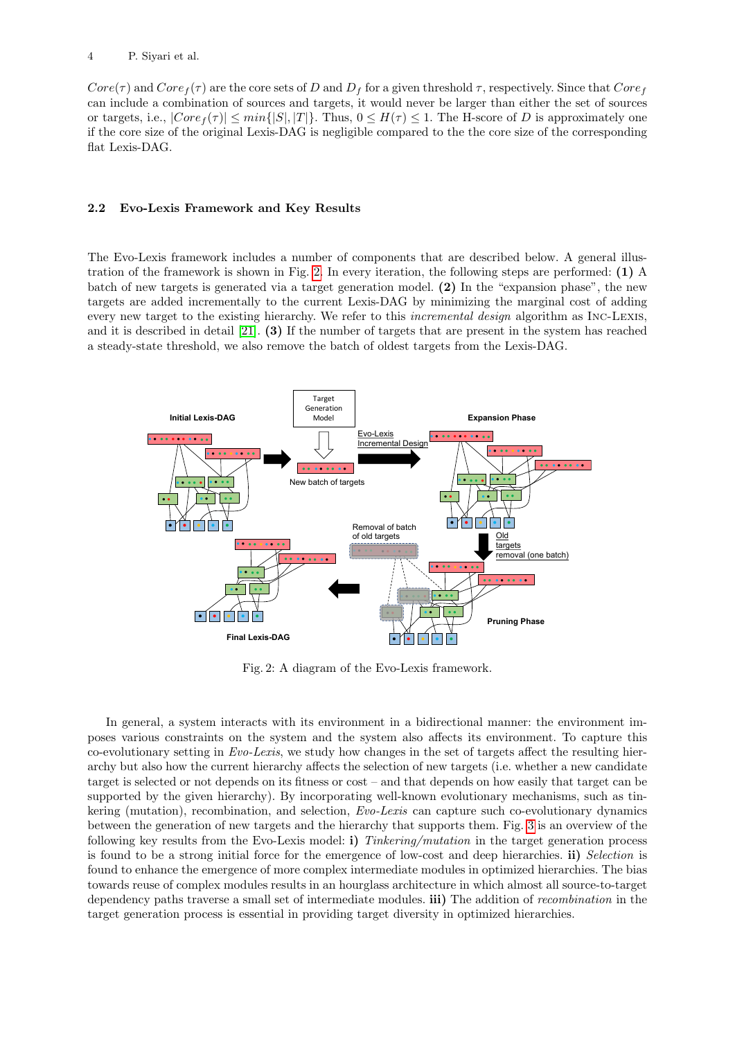$Core(\tau)$  and  $Core_f(\tau)$  are the core sets of D and  $D_f$  for a given threshold  $\tau$ , respectively. Since that  $Core_f$ can include a combination of sources and targets, it would never be larger than either the set of sources or targets, i.e.,  $|Core_f(\tau)| \leq min\{|S|,|T|\}$ . Thus,  $0 \leq H(\tau) \leq 1$ . The H-score of D is approximately one if the core size of the original Lexis-DAG is negligible compared to the the core size of the corresponding flat Lexis-DAG.

#### 2.2 Evo-Lexis Framework and Key Results

The Evo-Lexis framework includes a number of components that are described below. A general illustration of the framework is shown in Fig. [2.](#page-3-0) In every iteration, the following steps are performed: (1) A batch of new targets is generated via a target generation model. (2) In the "expansion phase", the new targets are added incrementally to the current Lexis-DAG by minimizing the marginal cost of adding every new target to the existing hierarchy. We refer to this *incremental design* algorithm as INC-LEXIS, and it is described in detail [\[21\]](#page-10-0). (3) If the number of targets that are present in the system has reached a steady-state threshold, we also remove the batch of oldest targets from the Lexis-DAG.

<span id="page-3-0"></span>

Fig. 2: A diagram of the Evo-Lexis framework.

In general, a system interacts with its environment in a bidirectional manner: the environment imposes various constraints on the system and the system also affects its environment. To capture this co-evolutionary setting in Evo-Lexis, we study how changes in the set of targets affect the resulting hierarchy but also how the current hierarchy affects the selection of new targets (i.e. whether a new candidate target is selected or not depends on its fitness or cost – and that depends on how easily that target can be supported by the given hierarchy). By incorporating well-known evolutionary mechanisms, such as tinkering (mutation), recombination, and selection, Evo-Lexis can capture such co-evolutionary dynamics between the generation of new targets and the hierarchy that supports them. Fig. [3](#page-4-0) is an overview of the following key results from the Evo-Lexis model: i) Tinkering/mutation in the target generation process is found to be a strong initial force for the emergence of low-cost and deep hierarchies. **ii**) Selection is found to enhance the emergence of more complex intermediate modules in optimized hierarchies. The bias towards reuse of complex modules results in an hourglass architecture in which almost all source-to-target dependency paths traverse a small set of intermediate modules. iii) The addition of recombination in the target generation process is essential in providing target diversity in optimized hierarchies.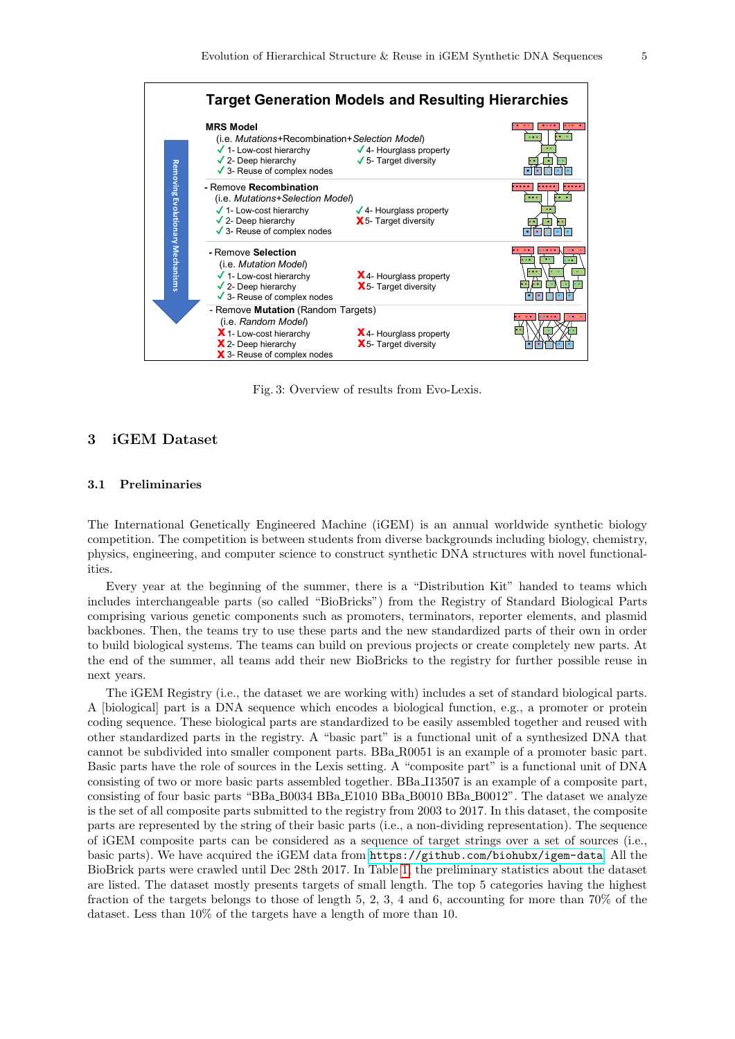<span id="page-4-0"></span>

Fig. 3: Overview of results from Evo-Lexis.

# 3 iGEM Dataset

## 3.1 Preliminaries

The International Genetically Engineered Machine (iGEM) is an annual worldwide synthetic biology competition. The competition is between students from diverse backgrounds including biology, chemistry, physics, engineering, and computer science to construct synthetic DNA structures with novel functionalities.

Every year at the beginning of the summer, there is a "Distribution Kit" handed to teams which includes interchangeable parts (so called "BioBricks") from the Registry of Standard Biological Parts comprising various genetic components such as promoters, terminators, reporter elements, and plasmid backbones. Then, the teams try to use these parts and the new standardized parts of their own in order to build biological systems. The teams can build on previous projects or create completely new parts. At the end of the summer, all teams add their new BioBricks to the registry for further possible reuse in next years.

The iGEM Registry (i.e., the dataset we are working with) includes a set of standard biological parts. A [biological] part is a DNA sequence which encodes a biological function, e.g., a promoter or protein coding sequence. These biological parts are standardized to be easily assembled together and reused with other standardized parts in the registry. A "basic part" is a functional unit of a synthesized DNA that cannot be subdivided into smaller component parts. BBa R0051 is an example of a promoter basic part. Basic parts have the role of sources in the Lexis setting. A "composite part" is a functional unit of DNA consisting of two or more basic parts assembled together. BBa I13507 is an example of a composite part, consisting of four basic parts "BBa B0034 BBa E1010 BBa B0010 BBa B0012". The dataset we analyze is the set of all composite parts submitted to the registry from 2003 to 2017. In this dataset, the composite parts are represented by the string of their basic parts (i.e., a non-dividing representation). The sequence of iGEM composite parts can be considered as a sequence of target strings over a set of sources (i.e., basic parts). We have acquired the iGEM data from <https://github.com/biohubx/igem-data>. All the BioBrick parts were crawled until Dec 28th 2017. In Table [1,](#page-5-0) the preliminary statistics about the dataset are listed. The dataset mostly presents targets of small length. The top 5 categories having the highest fraction of the targets belongs to those of length 5, 2, 3, 4 and 6, accounting for more than 70% of the dataset. Less than 10% of the targets have a length of more than 10.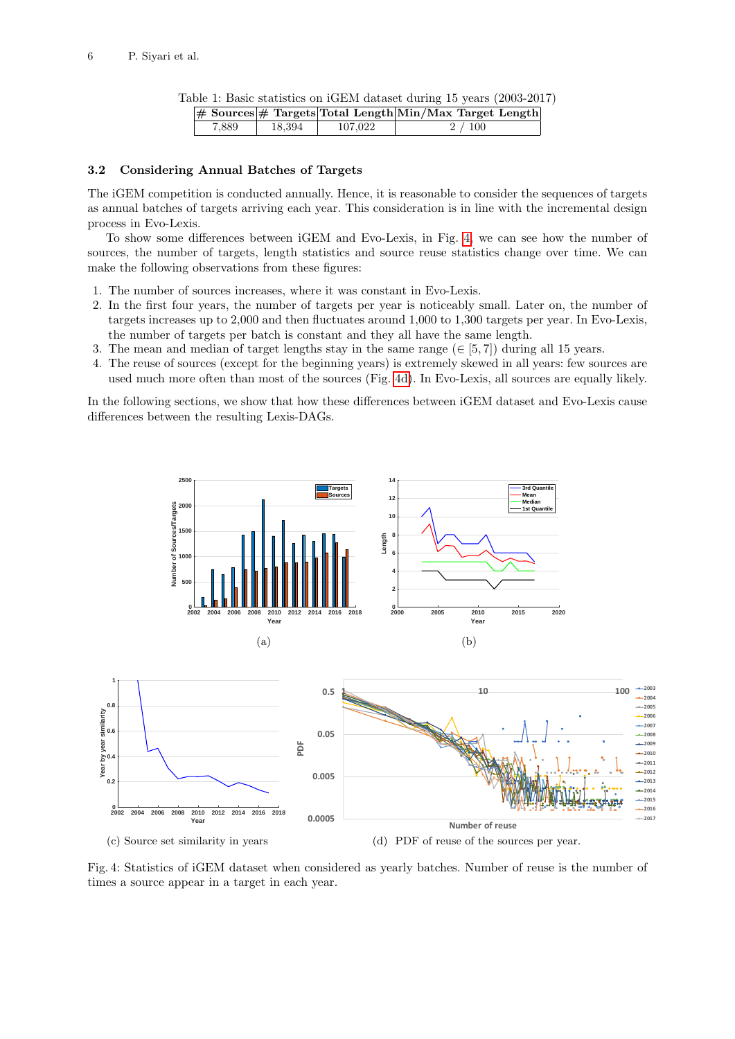|  | Table 1: Basic statistics on iGEM dataset during 15 years (2003-2017) |  |  |  |  |  |  |
|--|-----------------------------------------------------------------------|--|--|--|--|--|--|
|--|-----------------------------------------------------------------------|--|--|--|--|--|--|

|       |        |         | $\#$ Sources $\#$ Targets Total Length Min/Max Target Length |
|-------|--------|---------|--------------------------------------------------------------|
| 7.889 | 18.394 | 107,022 | 2 / 100                                                      |

#### <span id="page-5-0"></span>3.2 Considering Annual Batches of Targets

The iGEM competition is conducted annually. Hence, it is reasonable to consider the sequences of targets as annual batches of targets arriving each year. This consideration is in line with the incremental design process in Evo-Lexis.

To show some differences between iGEM and Evo-Lexis, in Fig. [4,](#page-5-1) we can see how the number of sources, the number of targets, length statistics and source reuse statistics change over time. We can make the following observations from these figures:

- 1. The number of sources increases, where it was constant in Evo-Lexis.
- 2. In the first four years, the number of targets per year is noticeably small. Later on, the number of targets increases up to 2,000 and then fluctuates around 1,000 to 1,300 targets per year. In Evo-Lexis, the number of targets per batch is constant and they all have the same length.
- 3. The mean and median of target lengths stay in the same range ( $\in [5, 7]$ ) during all 15 years.
- 4. The reuse of sources (except for the beginning years) is extremely skewed in all years: few sources are used much more often than most of the sources (Fig. [4d\)](#page-5-2). In Evo-Lexis, all sources are equally likely.

In the following sections, we show that how these differences between iGEM dataset and Evo-Lexis cause differences between the resulting Lexis-DAGs.

<span id="page-5-4"></span><span id="page-5-3"></span><span id="page-5-1"></span>

<span id="page-5-2"></span>Fig. 4: Statistics of iGEM dataset when considered as yearly batches. Number of reuse is the number of times a source appear in a target in each year.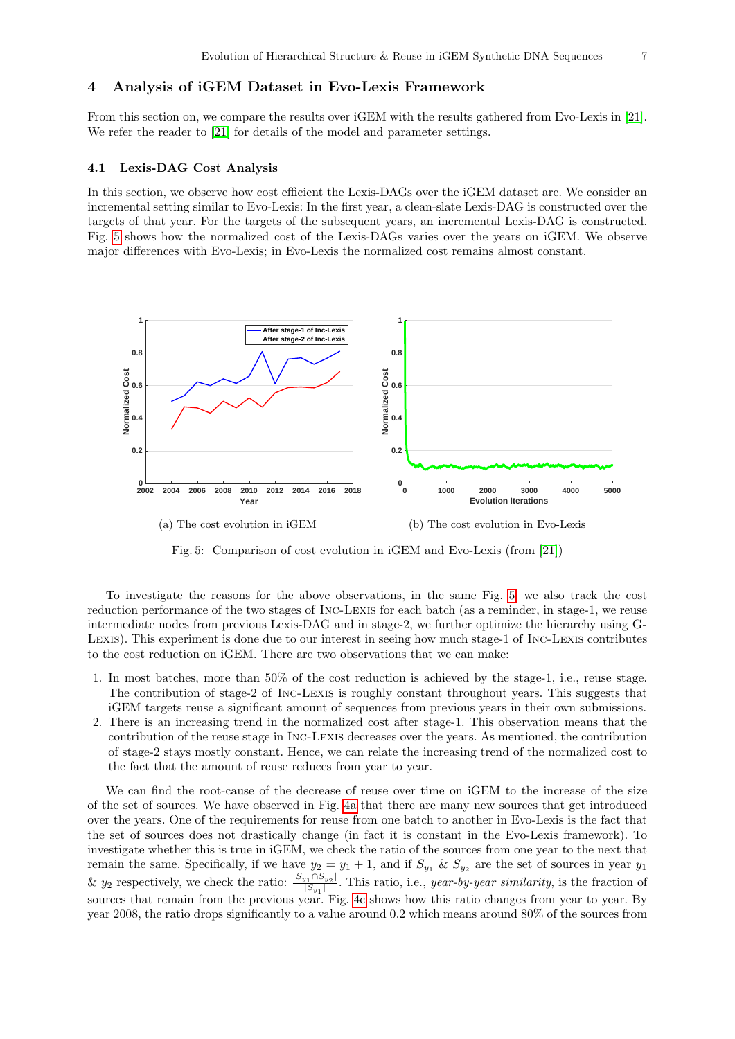## 4 Analysis of iGEM Dataset in Evo-Lexis Framework

From this section on, we compare the results over iGEM with the results gathered from Evo-Lexis in [\[21\]](#page-10-0). We refer the reader to [\[21\]](#page-10-0) for details of the model and parameter settings.

### 4.1 Lexis-DAG Cost Analysis

In this section, we observe how cost efficient the Lexis-DAGs over the iGEM dataset are. We consider an incremental setting similar to Evo-Lexis: In the first year, a clean-slate Lexis-DAG is constructed over the targets of that year. For the targets of the subsequent years, an incremental Lexis-DAG is constructed. Fig. [5](#page-6-0) shows how the normalized cost of the Lexis-DAGs varies over the years on iGEM. We observe major differences with Evo-Lexis; in Evo-Lexis the normalized cost remains almost constant.

<span id="page-6-0"></span>

Fig. 5: Comparison of cost evolution in iGEM and Evo-Lexis (from [\[21\]](#page-10-0))

To investigate the reasons for the above observations, in the same Fig. [5,](#page-6-0) we also track the cost reduction performance of the two stages of Inc-Lexis for each batch (as a reminder, in stage-1, we reuse intermediate nodes from previous Lexis-DAG and in stage-2, we further optimize the hierarchy using G-Lexis). This experiment is done due to our interest in seeing how much stage-1 of Inc-Lexis contributes to the cost reduction on iGEM. There are two observations that we can make:

- 1. In most batches, more than 50% of the cost reduction is achieved by the stage-1, i.e., reuse stage. The contribution of stage-2 of Inc-Lexis is roughly constant throughout years. This suggests that iGEM targets reuse a significant amount of sequences from previous years in their own submissions.
- 2. There is an increasing trend in the normalized cost after stage-1. This observation means that the contribution of the reuse stage in Inc-Lexis decreases over the years. As mentioned, the contribution of stage-2 stays mostly constant. Hence, we can relate the increasing trend of the normalized cost to the fact that the amount of reuse reduces from year to year.

We can find the root-cause of the decrease of reuse over time on iGEM to the increase of the size of the set of sources. We have observed in Fig. [4a](#page-5-3) that there are many new sources that get introduced over the years. One of the requirements for reuse from one batch to another in Evo-Lexis is the fact that the set of sources does not drastically change (in fact it is constant in the Evo-Lexis framework). To investigate whether this is true in iGEM, we check the ratio of the sources from one year to the next that remain the same. Specifically, if we have  $y_2 = y_1 + 1$ , and if  $S_{y_1} \& S_{y_2}$  are the set of sources in year  $y_1$ &  $y_2$  respectively, we check the ratio:  $\frac{|S_{y_1} \cap S_{y_2}|}{|S_{y_1}|}$  $\frac{|S_{y_1}| \cdot |S_{y_2}|}{|S_{y_1}|}$ . This ratio, i.e., *year-by-year similarity*, is the fraction of sources that remain from the previous year. Fig. [4c](#page-5-4) shows how this ratio changes from year to year. By year 2008, the ratio drops significantly to a value around 0.2 which means around 80% of the sources from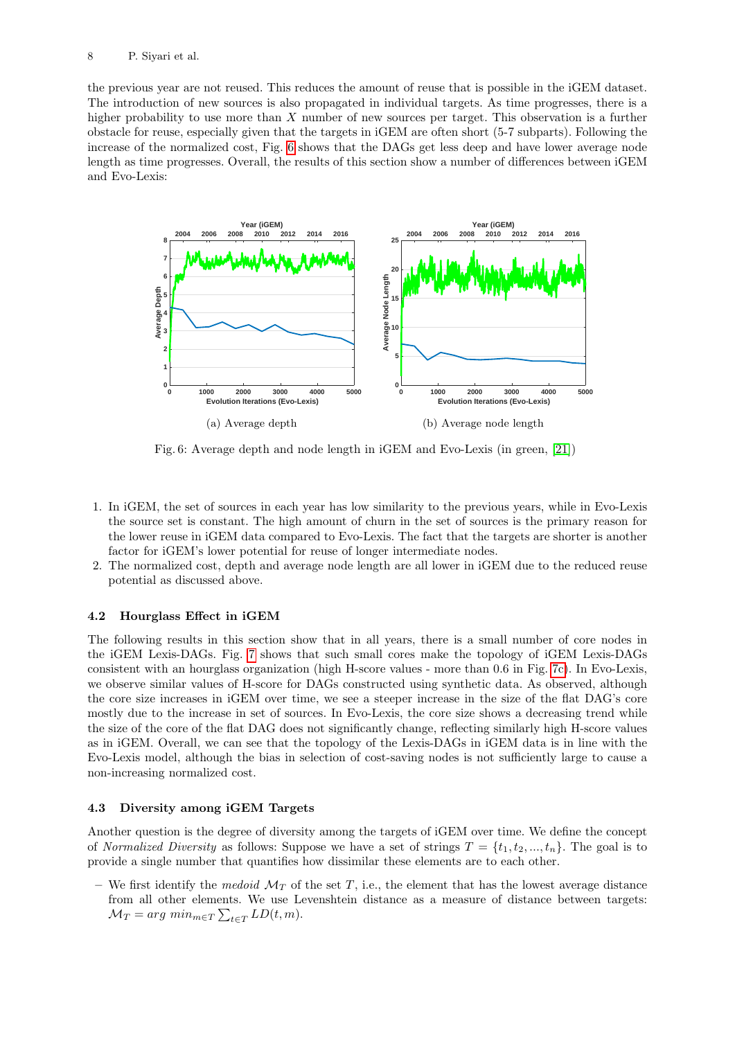the previous year are not reused. This reduces the amount of reuse that is possible in the iGEM dataset. The introduction of new sources is also propagated in individual targets. As time progresses, there is a higher probability to use more than X number of new sources per target. This observation is a further obstacle for reuse, especially given that the targets in iGEM are often short (5-7 subparts). Following the increase of the normalized cost, Fig. [6](#page-7-0) shows that the DAGs get less deep and have lower average node length as time progresses. Overall, the results of this section show a number of differences between iGEM and Evo-Lexis:

<span id="page-7-0"></span>

Fig. 6: Average depth and node length in iGEM and Evo-Lexis (in green, [\[21\]](#page-10-0))

- 1. In iGEM, the set of sources in each year has low similarity to the previous years, while in Evo-Lexis the source set is constant. The high amount of churn in the set of sources is the primary reason for the lower reuse in iGEM data compared to Evo-Lexis. The fact that the targets are shorter is another factor for iGEM's lower potential for reuse of longer intermediate nodes.
- 2. The normalized cost, depth and average node length are all lower in iGEM due to the reduced reuse potential as discussed above.

## 4.2 Hourglass Effect in iGEM

The following results in this section show that in all years, there is a small number of core nodes in the iGEM Lexis-DAGs. Fig. [7](#page-8-0) shows that such small cores make the topology of iGEM Lexis-DAGs consistent with an hourglass organization (high H-score values - more than 0.6 in Fig. [7c\)](#page-8-1). In Evo-Lexis, we observe similar values of H-score for DAGs constructed using synthetic data. As observed, although the core size increases in iGEM over time, we see a steeper increase in the size of the flat DAG's core mostly due to the increase in set of sources. In Evo-Lexis, the core size shows a decreasing trend while the size of the core of the flat DAG does not significantly change, reflecting similarly high H-score values as in iGEM. Overall, we can see that the topology of the Lexis-DAGs in iGEM data is in line with the Evo-Lexis model, although the bias in selection of cost-saving nodes is not sufficiently large to cause a non-increasing normalized cost.

## 4.3 Diversity among iGEM Targets

Another question is the degree of diversity among the targets of iGEM over time. We define the concept of Normalized Diversity as follows: Suppose we have a set of strings  $T = \{t_1, t_2, ..., t_n\}$ . The goal is to provide a single number that quantifies how dissimilar these elements are to each other.

– We first identify the medoid  $\mathcal{M}_T$  of the set T, i.e., the element that has the lowest average distance from all other elements. We use Levenshtein distance as a measure of distance between targets:  $\mathcal{M}_T = \arg\min_{m \in T} \sum_{t \in T} LD(t, m).$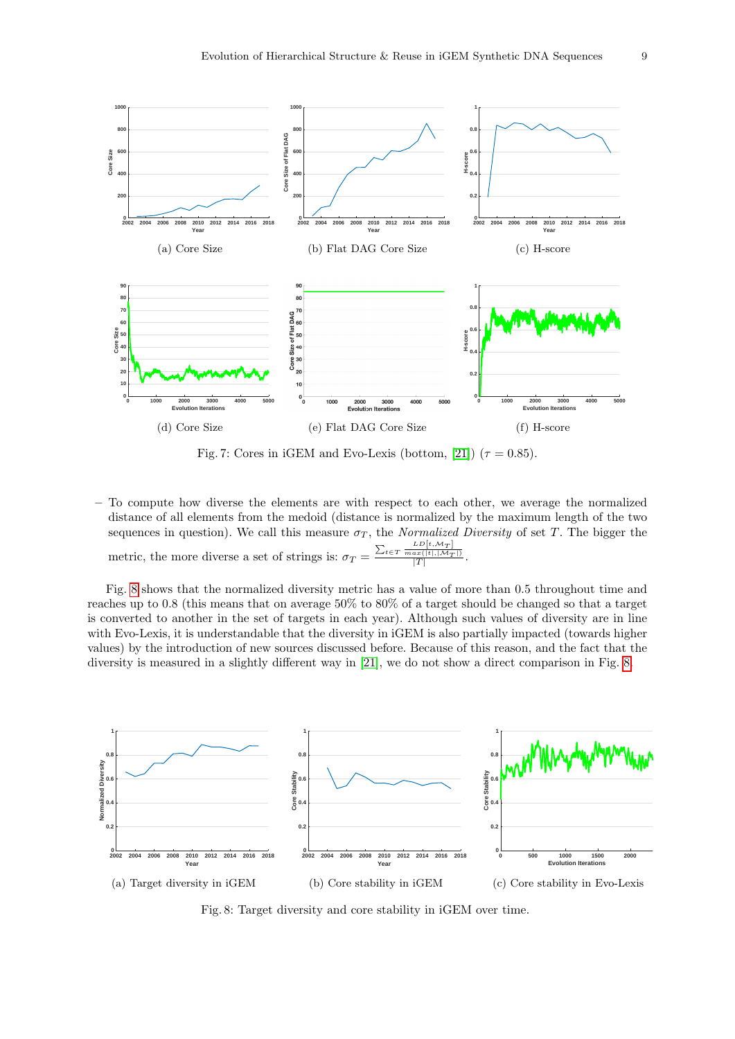<span id="page-8-0"></span>

<span id="page-8-1"></span>Fig. 7: Cores in iGEM and Evo-Lexis (bottom, [\[21\]](#page-10-0)) ( $\tau = 0.85$ ).

– To compute how diverse the elements are with respect to each other, we average the normalized distance of all elements from the medoid (distance is normalized by the maximum length of the two sequences in question). We call this measure  $\sigma_T$ , the Normalized Diversity of set T. The bigger the metric, the more diverse a set of strings is:  $\sigma_T = \frac{\sum_{t \in T} \frac{LD[t, \mathcal{M}_T]}{max(|t|, |\mathcal{M}_T|)}}{|T|}$ .

Fig. [8](#page-8-2) shows that the normalized diversity metric has a value of more than 0.5 throughout time and reaches up to 0.8 (this means that on average 50% to 80% of a target should be changed so that a target is converted to another in the set of targets in each year). Although such values of diversity are in line with Evo-Lexis, it is understandable that the diversity in  $i$ GEM is also partially impacted (towards higher values) by the introduction of new sources discussed before. Because of this reason, and the fact that the diversity is measured in a slightly different way in [\[21\]](#page-10-0), we do not show a direct comparison in Fig. [8.](#page-8-2)

<span id="page-8-2"></span>

<span id="page-8-3"></span>Fig. 8: Target diversity and core stability in iGEM over time.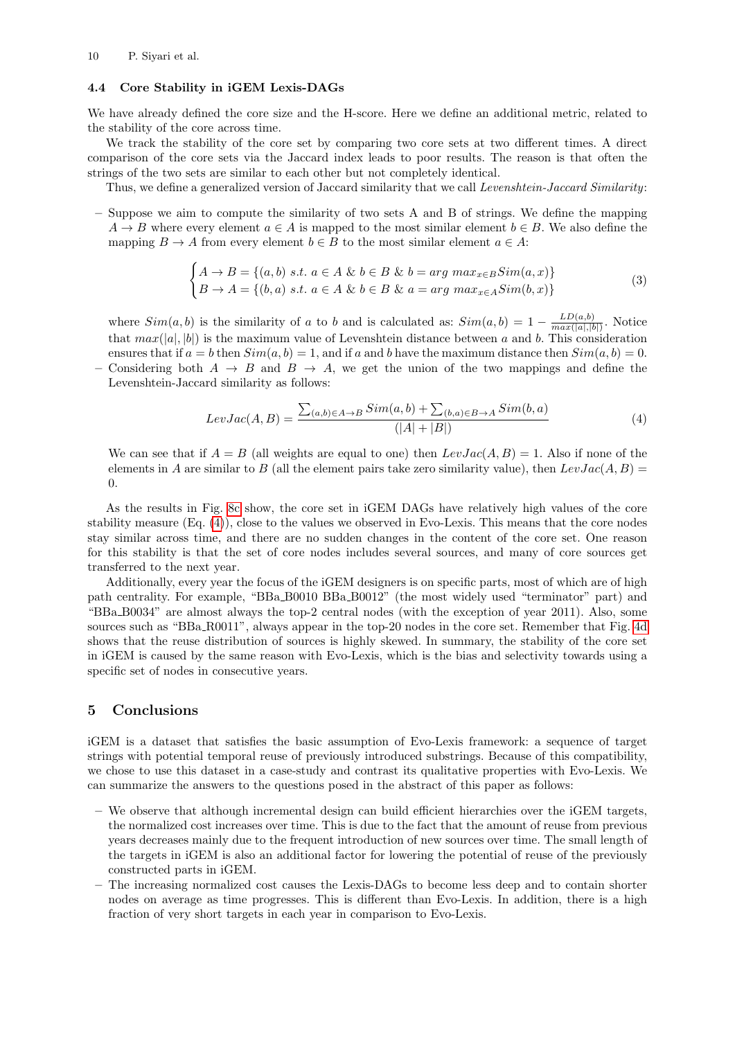# 4.4 Core Stability in iGEM Lexis-DAGs

We have already defined the core size and the H-score. Here we define an additional metric, related to the stability of the core across time.

We track the stability of the core set by comparing two core sets at two different times. A direct comparison of the core sets via the Jaccard index leads to poor results. The reason is that often the strings of the two sets are similar to each other but not completely identical.

Thus, we define a generalized version of Jaccard similarity that we call Levenshtein-Jaccard Similarity:

– Suppose we aim to compute the similarity of two sets A and B of strings. We define the mapping  $A \to B$  where every element  $a \in A$  is mapped to the most similar element  $b \in B$ . We also define the mapping  $B \to A$  from every element  $b \in B$  to the most similar element  $a \in A$ :

$$
\begin{cases} A \to B = \{(a, b) \text{ s.t. } a \in A \& b \in B \& b = arg max_{x \in B} Sim(a, x) \} \\ B \to A = \{(b, a) \text{ s.t. } a \in A \& b \in B \& a = arg max_{x \in A} Sim(b, x) \} \end{cases}
$$
(3)

where  $Sim(a, b)$  is the similarity of a to b and is calculated as:  $Sim(a, b) = 1 - \frac{LD(a, b)}{max(|a| + b)}$  $\frac{LD(a, b)}{max(|a|, |b|)}$ . Notice that  $max(|a|, |b|)$  is the maximum value of Levenshtein distance between a and b. This consideration ensures that if  $a = b$  then  $Sim(a, b) = 1$ , and if a and b have the maximum distance then  $Sim(a, b) = 0$ . – Considering both  $A \rightarrow B$  and  $B \rightarrow A$ , we get the union of the two mappings and define the Levenshtein-Jaccard similarity as follows:

<span id="page-9-0"></span>
$$
LevJac(A,B) = \frac{\sum_{(a,b)\in A\to B} Sim(a,b) + \sum_{(b,a)\in B\to A} Sim(b,a)}{(|A|+|B|)}
$$
(4)

We can see that if  $A = B$  (all weights are equal to one) then  $LevJac(A, B) = 1$ . Also if none of the elements in A are similar to B (all the element pairs take zero similarity value), then  $LevJac(A, B)$ 0.

As the results in Fig. [8c](#page-8-3) show, the core set in iGEM DAGs have relatively high values of the core stability measure (Eq. [\(4\)](#page-9-0)), close to the values we observed in Evo-Lexis. This means that the core nodes stay similar across time, and there are no sudden changes in the content of the core set. One reason for this stability is that the set of core nodes includes several sources, and many of core sources get transferred to the next year.

Additionally, every year the focus of the iGEM designers is on specific parts, most of which are of high path centrality. For example, "BBa B0010 BBa B0012" (the most widely used "terminator" part) and "BBa B0034" are almost always the top-2 central nodes (with the exception of year 2011). Also, some sources such as "BBa R0011", always appear in the top-20 nodes in the core set. Remember that Fig. [4d](#page-5-2) shows that the reuse distribution of sources is highly skewed. In summary, the stability of the core set in iGEM is caused by the same reason with Evo-Lexis, which is the bias and selectivity towards using a specific set of nodes in consecutive years.

# 5 Conclusions

iGEM is a dataset that satisfies the basic assumption of Evo-Lexis framework: a sequence of target strings with potential temporal reuse of previously introduced substrings. Because of this compatibility, we chose to use this dataset in a case-study and contrast its qualitative properties with Evo-Lexis. We can summarize the answers to the questions posed in the abstract of this paper as follows:

- We observe that although incremental design can build efficient hierarchies over the iGEM targets, the normalized cost increases over time. This is due to the fact that the amount of reuse from previous years decreases mainly due to the frequent introduction of new sources over time. The small length of the targets in iGEM is also an additional factor for lowering the potential of reuse of the previously constructed parts in iGEM.
- The increasing normalized cost causes the Lexis-DAGs to become less deep and to contain shorter nodes on average as time progresses. This is different than Evo-Lexis. In addition, there is a high fraction of very short targets in each year in comparison to Evo-Lexis.